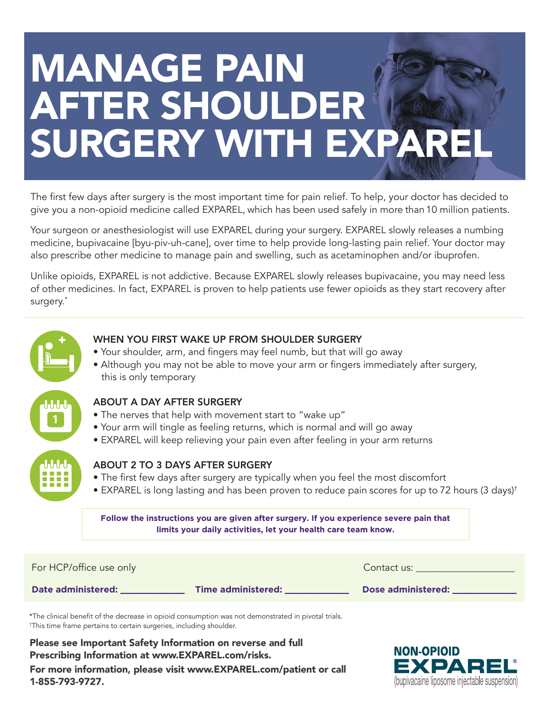# MANAGE PAIN AFTER SHOULDER SURGERY WITH EXPAREL

The first few days after surgery is the most important time for pain relief. To help, your doctor has decided to give you a non-opioid medicine called EXPAREL, which has been used safely in more than 10 million patients.

Your surgeon or anesthesiologist will use EXPAREL during your surgery. EXPAREL slowly releases a numbing medicine, bupivacaine [byu-piv-uh-cane], over time to help provide long-lasting pain relief. Your doctor may also prescribe other medicine to manage pain and swelling, such as acetaminophen and/or ibuprofen.

Unlike opioids, EXPAREL is not addictive. Because EXPAREL slowly releases bupivacaine, you may need less of other medicines. In fact, EXPAREL is proven to help patients use fewer opioids as they start recovery after surgery.\*



## WHEN YOU FIRST WAKE UP FROM SHOULDER SURGERY

- Your shoulder, arm, and fingers may feel numb, but that will go away
- Although you may not be able to move your arm or fingers immediately after surgery, this is only temporary



- The nerves that help with movement start to "wake up"
- Your arm will tingle as feeling returns, which is normal and will go away
- EXPAREL will keep relieving your pain even after feeling in your arm returns



**1**

## ABOUT 2 TO 3 DAYS AFTER SURGERY

- The first few days after surgery are typically when you feel the most discomfort
- EXPAREL is long lasting and has been proven to reduce pain scores for up to 72 hours (3 days)†

**Follow the instructions you are given after surgery. If you experience severe pain that limits your daily activities, let your health care team know.**

| For HCP/office use only |                    | Contact us:        |
|-------------------------|--------------------|--------------------|
| Date administered:      | Time administered: | Dose administered: |

\*The clinical benefit of the decrease in opioid consumption was not demonstrated in pivotal trials. †This time frame pertains to certain surgeries, including shoulder.

Please see Important Safety Information on reverse and full Prescribing Information at www.EXPAREL.com/risks.

For more information, please visit www.EXPAREL.com/patient or call 1-855-793-9727.